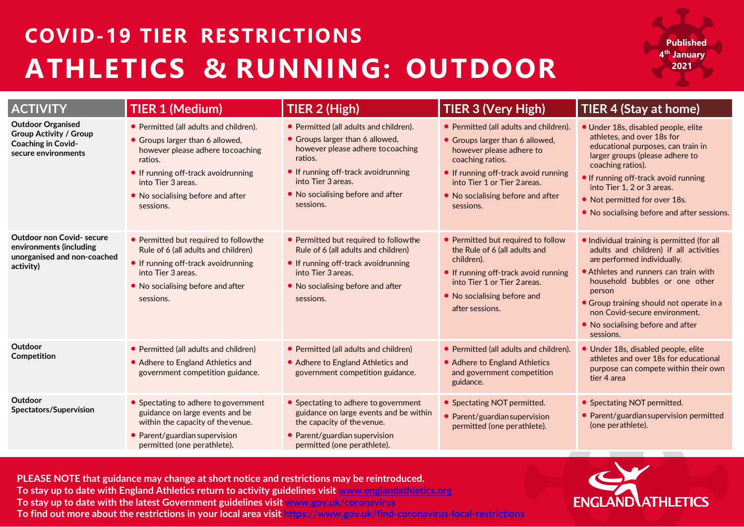## **COVID-19 TIER RESTRICTIONS ATHLETICS & RUNNING: OUTDOOR**

**Published 4th January 2021**

| <b>ACTIVITY</b>                                                                                               | <b>TIER 1 (Medium)</b>                                                                                                                                                                                                                   | TIER 2 (High)                                                                                                                                                                                                                            | <b>TIER 3 (Very High)</b>                                                                                                                                                                                                                           | TIER 4 (Stay at home)                                                                                                                                                                                                                                                                                                                    |
|---------------------------------------------------------------------------------------------------------------|------------------------------------------------------------------------------------------------------------------------------------------------------------------------------------------------------------------------------------------|------------------------------------------------------------------------------------------------------------------------------------------------------------------------------------------------------------------------------------------|-----------------------------------------------------------------------------------------------------------------------------------------------------------------------------------------------------------------------------------------------------|------------------------------------------------------------------------------------------------------------------------------------------------------------------------------------------------------------------------------------------------------------------------------------------------------------------------------------------|
| <b>Outdoor Organised</b><br><b>Group Activity / Group</b><br><b>Coaching in Covid-</b><br>secure environments | • Permitted (all adults and children).<br>• Groups larger than 6 allowed,<br>however please adhere to coaching<br>ratios.<br>• If running off-track avoidrunning<br>into Tier 3 areas.<br>• No socialising before and after<br>sessions. | • Permitted (all adults and children).<br>• Groups larger than 6 allowed,<br>however please adhere to coaching<br>ratios.<br>• If running off-track avoidrunning<br>into Tier 3 areas.<br>• No socialising before and after<br>sessions. | • Permitted (all adults and children).<br>• Groups larger than 6 allowed,<br>however please adhere to<br>coaching ratios.<br>• If running off-track avoid running<br>into Tier 1 or Tier 2 areas.<br>• No socialising before and after<br>sessions. | • Under 18s, disabled people, elite<br>athletes, and over 18s for<br>educational purposes, can train in<br>larger groups (please adhere to<br>coaching ratios).<br>If running off-track avoid running<br>into Tier 1, 2 or 3 areas.<br>• Not permitted for over 18s.<br>• No socialising before and after sessions.                      |
| <b>Outdoor non Covid-secure</b><br>environments (including<br>unorganised and non-coached<br>activity)        | • Permitted but required to followthe<br>Rule of 6 (all adults and children)<br>• If running off-track avoidrunning<br>into Tier 3 areas.<br>• No socialising before and after<br>sessions.                                              | • Permitted but required to followthe<br>Rule of 6 (all adults and children)<br>• If running off-track avoidrunning<br>into Tier 3 areas.<br>• No socialising before and after<br>sessions.                                              | • Permitted but required to follow<br>the Rule of 6 (all adults and<br>children).<br>• If running off-track avoid running<br>into Tier 1 or Tier 2 areas.<br>• No socialising before and<br>after sessions.                                         | • Individual training is permitted (for all<br>adults and children) if all activities<br>are performed individually.<br>• Athletes and runners can train with<br>household bubbles or one other<br>person<br>• Group training should not operate in a<br>non Covid-secure environment.<br>• No socialising before and after<br>sessions. |
| Outdoor<br>Competition                                                                                        | • Permitted (all adults and children)<br>• Adhere to England Athletics and<br>government competition guidance.                                                                                                                           | • Permitted (all adults and children)<br>• Adhere to England Athletics and<br>government competition guidance.                                                                                                                           | • Permitted (all adults and children).<br>• Adhere to England Athletics<br>and government competition<br>guidance.                                                                                                                                  | · Under 18s, disabled people, elite<br>athletes and over 18s for educational<br>purpose can compete within their own<br>tier 4 area                                                                                                                                                                                                      |
| Outdoor<br>Spectators/Supervision                                                                             | • Spectating to adhere to government<br>guidance on large events and be<br>within the capacity of the venue.<br>• Parent/guardian supervision<br>permitted (one perathlete).                                                             | • Spectating to adhere to government<br>guidance on large events and be within<br>the capacity of the venue.<br>• Parent/guardian supervision<br>permitted (one perathlete).                                                             | • Spectating NOT permitted.<br>• Parent/guardian supervision<br>permitted (one perathlete).                                                                                                                                                         | • Spectating NOT permitted.<br>• Parent/guardian supervision permitted<br>(one perathlete).                                                                                                                                                                                                                                              |

**PLEASE NOTE that guidance may change at short notice and restrictions may be reintroduced. PLEASE NOTE that guidance may change at short notice and restrictions may be reintroduced.** To stay up to date with England Athletics return to activity guidelines visit <u>www.englandathletics.org</u> **[www.englandathletics.org](http://www.englandathletics.org/) To stay up to date with the latest Government guidelines visit [www.gov.uk/coronavirus](http://www.gov.uk/coronavirus) To find out more about the restrictions in your local area visit<https://www.gov.uk/find-coronavirus-local-restrictions>**

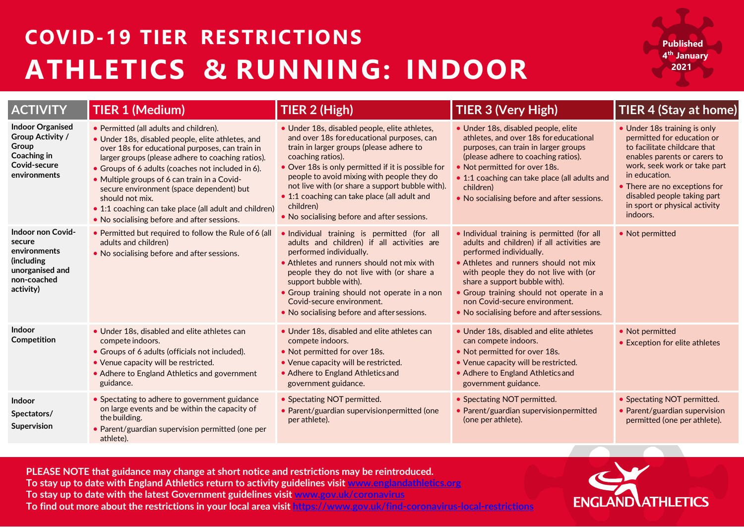## **COVID-19 TIER RESTRICTIONS ATHLETICS & RUNNING: INDOOR**

**Published 4th January 2021**

| <b>ACTIVITY</b>                                                                                                   | <b>TIER 1 (Medium)</b>                                                                                                                                                                                                                                                                                                                                                                                                                                                           | TIER 2 (High)                                                                                                                                                                                                                                                                                                                                                                                                                   | TIER 3 (Very High)                                                                                                                                                                                                                                                                                                                                                  | TIER 4 (Stay at home)                                                                                                                                                                                                                                                                    |
|-------------------------------------------------------------------------------------------------------------------|----------------------------------------------------------------------------------------------------------------------------------------------------------------------------------------------------------------------------------------------------------------------------------------------------------------------------------------------------------------------------------------------------------------------------------------------------------------------------------|---------------------------------------------------------------------------------------------------------------------------------------------------------------------------------------------------------------------------------------------------------------------------------------------------------------------------------------------------------------------------------------------------------------------------------|---------------------------------------------------------------------------------------------------------------------------------------------------------------------------------------------------------------------------------------------------------------------------------------------------------------------------------------------------------------------|------------------------------------------------------------------------------------------------------------------------------------------------------------------------------------------------------------------------------------------------------------------------------------------|
| <b>Indoor Organised</b><br><b>Group Activity /</b><br>Group<br><b>Coaching in</b><br>Covid-secure<br>environments | • Permitted (all adults and children).<br>• Under 18s, disabled people, elite athletes, and<br>over 18s for educational purposes, can train in<br>larger groups (please adhere to coaching ratios).<br>• Groups of 6 adults (coaches not included in 6).<br>• Multiple groups of 6 can train in a Covid-<br>secure environment (space dependent) but<br>should not mix.<br>• 1:1 coaching can take place (all adult and children)<br>• No socialising before and after sessions. | • Under 18s, disabled people, elite athletes,<br>and over 18s for educational purposes, can<br>train in larger groups (please adhere to<br>coaching ratios).<br>• Over 18s is only permitted if it is possible for<br>people to avoid mixing with people they do<br>not live with (or share a support bubble with).<br>• 1:1 coaching can take place (all adult and<br>children)<br>• No socialising before and after sessions. | · Under 18s, disabled people, elite<br>athletes, and over 18s for educational<br>purposes, can train in larger groups<br>(please adhere to coaching ratios).<br>• Not permitted for over 18s.<br>• 1:1 coaching can take place (all adults and<br>children)<br>. No socialising before and after sessions.                                                          | • Under 18s training is only<br>permitted for education or<br>to facilitate childcare that<br>enables parents or carers to<br>work, seek work or take part<br>in education.<br>• There are no exceptions for<br>disabled people taking part<br>in sport or physical activity<br>indoors. |
| <b>Indoor non Covid-</b><br>secure<br>environments<br>(including<br>unorganised and<br>non-coached<br>activity)   | . Permitted but required to follow the Rule of 6 (all<br>adults and children)<br>• No socialising before and after sessions.                                                                                                                                                                                                                                                                                                                                                     | . Individual training is permitted (for all<br>adults and children) if all activities are<br>performed individually.<br>• Athletes and runners should not mix with<br>people they do not live with (or share a<br>support bubble with).<br>• Group training should not operate in a non<br>Covid-secure environment.<br>• No socialising before and after sessions.                                                             | · Individual training is permitted (for all<br>adults and children) if all activities are<br>performed individually.<br>• Athletes and runners should not mix<br>with people they do not live with (or<br>share a support bubble with).<br>• Group training should not operate in a<br>non Covid-secure environment.<br>• No socialising before and after sessions. | • Not permitted                                                                                                                                                                                                                                                                          |
| <b>Indoor</b><br>Competition                                                                                      | • Under 18s, disabled and elite athletes can<br>compete indoors.<br>• Groups of 6 adults (officials not included).<br>• Venue capacity will be restricted.<br>• Adhere to England Athletics and government<br>guidance.                                                                                                                                                                                                                                                          | • Under 18s, disabled and elite athletes can<br>compete indoors.<br>. Not permitted for over 18s.<br>• Venue capacity will be restricted.<br>• Adhere to England Athletics and<br>government guidance.                                                                                                                                                                                                                          | • Under 18s, disabled and elite athletes<br>can compete indoors.<br>• Not permitted for over 18s.<br>. Venue capacity will be restricted.<br>• Adhere to England Athletics and<br>government guidance.                                                                                                                                                              | • Not permitted<br>• Exception for elite athletes                                                                                                                                                                                                                                        |
| Indoor<br>Spectators/<br>Supervision                                                                              | • Spectating to adhere to government guidance<br>on large events and be within the capacity of<br>the building.<br>• Parent/guardian supervision permitted (one per<br>athlete).                                                                                                                                                                                                                                                                                                 | • Spectating NOT permitted.<br>• Parent/guardian supervision permitted (one<br>per athlete).                                                                                                                                                                                                                                                                                                                                    | • Spectating NOT permitted.<br>• Parent/guardian supervisionpermitted<br>(one per athlete).                                                                                                                                                                                                                                                                         | • Spectating NOT permitted.<br>• Parent/guardian supervision<br>permitted (one per athlete).                                                                                                                                                                                             |

**PLEASE NOTE that guidance may change at short notice and restrictions may be reintroduced. To stay up to date with England Athletics return to activity guidelines visit [www.englandathletics.org](http://www.englandathletics.org/)** To stay up to date with the latest Government guidelines visit [www.gov.uk/coronavirus](http://www.gov.uk/coronavirus) **[www.englandathletics.org](http://www.englandathletics.org/) To find out more about the restrictions in your local area visit<https://www.gov.uk/find-coronavirus-local-restrictions>PLEASE NOTE that guidance may change at short notice and restrictions may be reintroduced.**

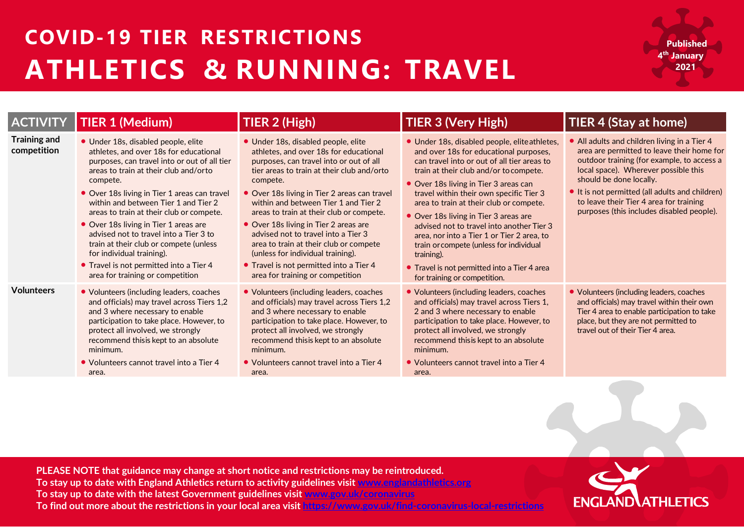## **COVID-19 TIER RESTRICTIONS ATHLETICS & RUNNING: TRAVEL**

**Published 4th January 2021**

| <b>ACTIVITY</b>                    | <b>TIER 1 (Medium)</b>                                                                                                                                                                                                                                                                                                                                                                                                                                                                                                                                          | TIER 2 (High)                                                                                                                                                                                                                                                                                                                                                                                                                                                                                                                                                        | <b>TIER 3 (Very High)</b>                                                                                                                                                                                                                                                                                                                                                                                                                                                                                                                                                                   | TIER 4 (Stay at home)                                                                                                                                                                                                                                                                                                                                |
|------------------------------------|-----------------------------------------------------------------------------------------------------------------------------------------------------------------------------------------------------------------------------------------------------------------------------------------------------------------------------------------------------------------------------------------------------------------------------------------------------------------------------------------------------------------------------------------------------------------|----------------------------------------------------------------------------------------------------------------------------------------------------------------------------------------------------------------------------------------------------------------------------------------------------------------------------------------------------------------------------------------------------------------------------------------------------------------------------------------------------------------------------------------------------------------------|---------------------------------------------------------------------------------------------------------------------------------------------------------------------------------------------------------------------------------------------------------------------------------------------------------------------------------------------------------------------------------------------------------------------------------------------------------------------------------------------------------------------------------------------------------------------------------------------|------------------------------------------------------------------------------------------------------------------------------------------------------------------------------------------------------------------------------------------------------------------------------------------------------------------------------------------------------|
| <b>Training and</b><br>competition | · Under 18s, disabled people, elite<br>athletes, and over 18s for educational<br>purposes, can travel into or out of all tier<br>areas to train at their club and/orto<br>compete.<br>• Over 18s living in Tier 1 areas can travel<br>within and between Tier 1 and Tier 2<br>areas to train at their club or compete.<br>• Over 18s living in Tier 1 areas are<br>advised not to travel into a Tier 3 to<br>train at their club or compete (unless<br>for individual training).<br>• Travel is not permitted into a Tier 4<br>area for training or competition | · Under 18s, disabled people, elite<br>athletes, and over 18s for educational<br>purposes, can travel into or out of all<br>tier areas to train at their club and/orto<br>compete.<br>• Over 18s living in Tier 2 areas can travel<br>within and between Tier 1 and Tier 2<br>areas to train at their club or compete.<br>• Over 18s living in Tier 2 areas are<br>advised not to travel into a Tier 3<br>area to train at their club or compete<br>(unless for individual training).<br>• Travel is not permitted into a Tier 4<br>area for training or competition | • Under 18s, disabled people, eliteathletes,<br>and over 18s for educational purposes,<br>can travel into or out of all tier areas to<br>train at their club and/or to compete.<br>• Over 18s living in Tier 3 areas can<br>travel within their own specific Tier 3<br>area to train at their club or compete.<br>• Over 18s living in Tier 3 areas are<br>advised not to travel into another Tier 3<br>area, nor into a Tier 1 or Tier 2 area, to<br>train or compete (unless for individual<br>training).<br>• Travel is not permitted into a Tier 4 area<br>for training or competition. | • All adults and children living in a Tier 4<br>area are permitted to leave their home for<br>outdoor training (for example, to access a<br>local space). Wherever possible this<br>should be done locally.<br>It is not permitted (all adults and children)<br>to leave their Tier 4 area for training<br>purposes (this includes disabled people). |
| <b>Volunteers</b>                  | • Volunteers (including leaders, coaches<br>and officials) may travel across Tiers 1,2<br>and 3 where necessary to enable<br>participation to take place. However, to<br>protect all involved, we strongly<br>recommend thisis kept to an absolute<br>minimum.<br>• Volunteers cannot travel into a Tier 4<br>area.                                                                                                                                                                                                                                             | • Volunteers (including leaders, coaches<br>and officials) may travel across Tiers 1,2<br>and 3 where necessary to enable<br>participation to take place. However, to<br>protect all involved, we strongly<br>recommend this is kept to an absolute<br>minimum.<br>• Volunteers cannot travel into a Tier 4<br>area.                                                                                                                                                                                                                                                 | • Volunteers (including leaders, coaches<br>and officials) may travel across Tiers 1,<br>2 and 3 where necessary to enable<br>participation to take place. However, to<br>protect all involved, we strongly<br>recommend this is kept to an absolute<br>minimum.<br>• Volunteers cannot travel into a Tier 4<br>area.                                                                                                                                                                                                                                                                       | • Volunteers (including leaders, coaches<br>and officials) may travel within their own<br>Tier 4 area to enable participation to take<br>place, but they are not permitted to<br>travel out of their Tier 4 area.                                                                                                                                    |

**PLEASE NOTE that guidance may change at short notice and restrictions may be reintroduced. To stay up to date with England Athletics return to activity guidelines visit [www.englandathletics.org](http://www.englandathletics.org/)** To stay up to date with the latest Government guidelines visit [www.gov.uk/coronavirus](http://www.gov.uk/coronavirus) **[www.englandathletics.org](http://www.englandathletics.org/) To find out more about the restrictions in your local area visit<https://www.gov.uk/find-coronavirus-local-restrictions>PLEASE NOTE that guidance may change at short notice and restrictions may be reintroduced.**